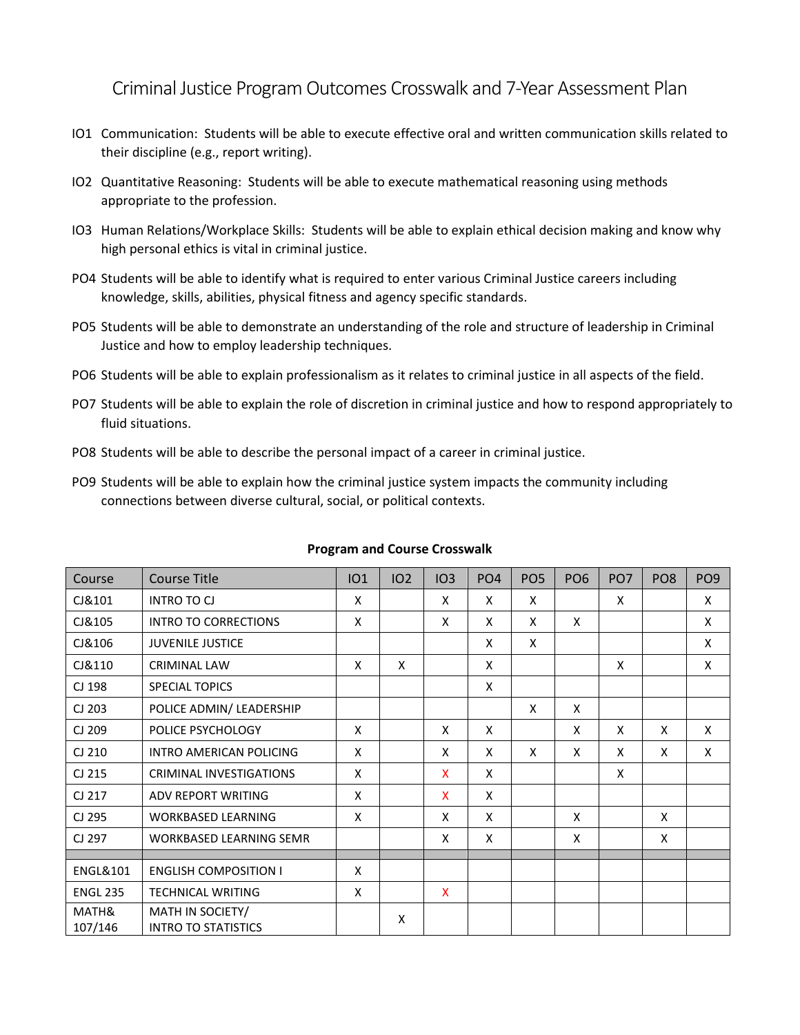Criminal Justice Program Outcomes Crosswalk and 7-Year Assessment Plan

- IO1 Communication: Students will be able to execute effective oral and written communication skills related to their discipline (e.g., report writing).
- IO2 Quantitative Reasoning: Students will be able to execute mathematical reasoning using methods appropriate to the profession.
- IO3 Human Relations/Workplace Skills: Students will be able to explain ethical decision making and know why high personal ethics is vital in criminal justice.
- PO4 Students will be able to identify what is required to enter various Criminal Justice careers including knowledge, skills, abilities, physical fitness and agency specific standards.
- PO5 Students will be able to demonstrate an understanding of the role and structure of leadership in Criminal Justice and how to employ leadership techniques.
- PO6 Students will be able to explain professionalism as it relates to criminal justice in all aspects of the field.
- PO7 Students will be able to explain the role of discretion in criminal justice and how to respond appropriately to fluid situations.
- PO8 Students will be able to describe the personal impact of a career in criminal justice.
- PO9 Students will be able to explain how the criminal justice system impacts the community including connections between diverse cultural, social, or political contexts.

| Course              | <b>Course Title</b>                            | <b>IO1</b> | <b>102</b> | IO3          | PO <sub>4</sub> | PO <sub>5</sub> | PO <sub>6</sub> | PO <sub>7</sub> | PO <sub>8</sub> | PO <sub>9</sub> |
|---------------------|------------------------------------------------|------------|------------|--------------|-----------------|-----------------|-----------------|-----------------|-----------------|-----------------|
| CJ&101              | <b>INTRO TO CJ</b>                             | X          |            | X            | X               | X               |                 | X               |                 | X               |
| CJ&105              | <b>INTRO TO CORRECTIONS</b>                    | X          |            | X            | X               | X               | X               |                 |                 | X               |
| CJ&106              | <b>JUVENILE JUSTICE</b>                        |            |            |              | X               | X               |                 |                 |                 | X               |
| CJ&110              | <b>CRIMINAL LAW</b>                            | X          | X          |              | X               |                 |                 | X               |                 | X               |
| CJ 198              | <b>SPECIAL TOPICS</b>                          |            |            |              | X               |                 |                 |                 |                 |                 |
| CJ 203              | POLICE ADMIN/ LEADERSHIP                       |            |            |              |                 | X               | X               |                 |                 |                 |
| CJ 209              | POLICE PSYCHOLOGY                              | X          |            | X            | X               |                 | X               | X               | X               | X               |
| CJ 210              | INTRO AMERICAN POLICING                        | X          |            | X            | X               | X               | X               | X               | X               | X               |
| CJ 215              | <b>CRIMINAL INVESTIGATIONS</b>                 | X          |            | $\mathsf{x}$ | X               |                 |                 | X               |                 |                 |
| CJ 217              | <b>ADV REPORT WRITING</b>                      | X          |            | X            | X               |                 |                 |                 |                 |                 |
| CJ 295              | <b>WORKBASED LEARNING</b>                      | X          |            | X            | X               |                 | X               |                 | X               |                 |
| CJ 297              | <b>WORKBASED LEARNING SEMR</b>                 |            |            | X            | X               |                 | X               |                 | X               |                 |
|                     |                                                |            |            |              |                 |                 |                 |                 |                 |                 |
| <b>ENGL&amp;101</b> | <b>ENGLISH COMPOSITION I</b>                   | X          |            |              |                 |                 |                 |                 |                 |                 |
| <b>ENGL 235</b>     | <b>TECHNICAL WRITING</b>                       | X          |            | $\mathsf{x}$ |                 |                 |                 |                 |                 |                 |
| MATH&<br>107/146    | MATH IN SOCIETY/<br><b>INTRO TO STATISTICS</b> |            | X          |              |                 |                 |                 |                 |                 |                 |

## **Program and Course Crosswalk**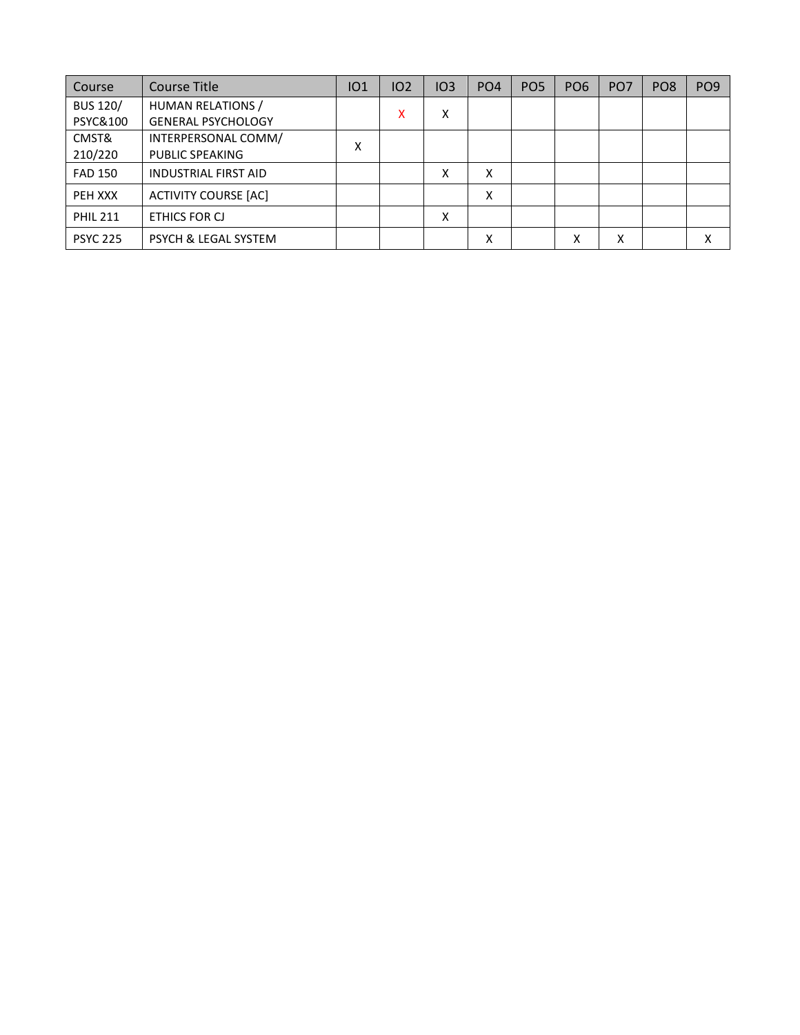| Course              | <b>Course Title</b>             | IO1 | IO2 | IO3 | PO <sub>4</sub> | PO <sub>5</sub> | PO <sub>6</sub> | PO <sub>7</sub> | PO <sub>8</sub> | PO <sub>9</sub> |
|---------------------|---------------------------------|-----|-----|-----|-----------------|-----------------|-----------------|-----------------|-----------------|-----------------|
| <b>BUS 120/</b>     | HUMAN RELATIONS /               |     | x   | Χ   |                 |                 |                 |                 |                 |                 |
| <b>PSYC&amp;100</b> | <b>GENERAL PSYCHOLOGY</b>       |     |     |     |                 |                 |                 |                 |                 |                 |
| CMST&               | INTERPERSONAL COMM/             | Χ   |     |     |                 |                 |                 |                 |                 |                 |
| 210/220             | <b>PUBLIC SPEAKING</b>          |     |     |     |                 |                 |                 |                 |                 |                 |
| <b>FAD 150</b>      | <b>INDUSTRIAL FIRST AID</b>     |     |     | x   | x               |                 |                 |                 |                 |                 |
| PEH XXX             | <b>ACTIVITY COURSE [AC]</b>     |     |     |     | X               |                 |                 |                 |                 |                 |
| <b>PHIL 211</b>     | ETHICS FOR CJ                   |     |     | X   |                 |                 |                 |                 |                 |                 |
| <b>PSYC 225</b>     | <b>PSYCH &amp; LEGAL SYSTEM</b> |     |     |     | Χ               |                 | X               | Χ               |                 |                 |